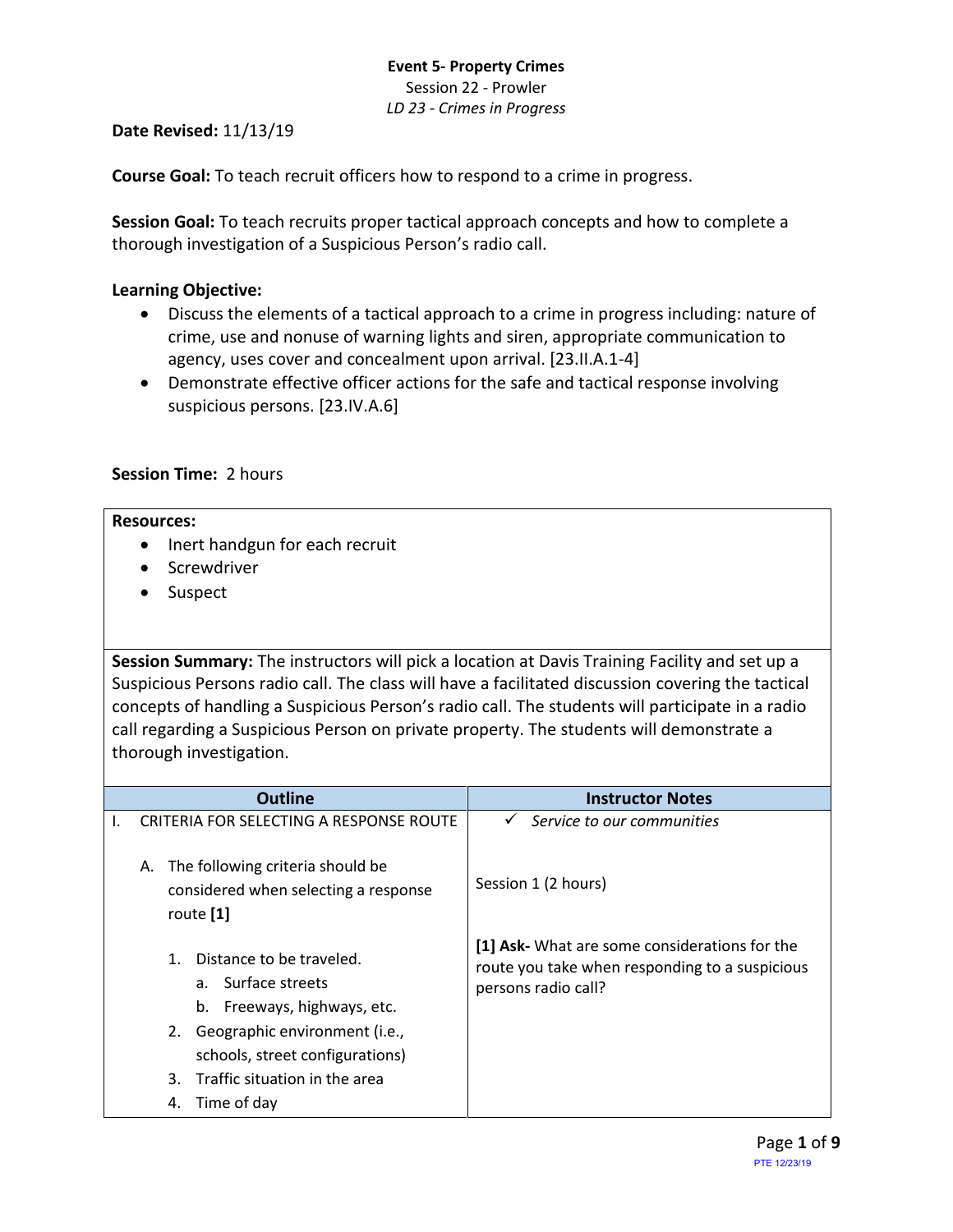# **Event 5- Property Crimes** Session 22 - Prowler *LD 23 - Crimes in Progress*

**Date Revised:** 11/13/19

**Course Goal:** To teach recruit officers how to respond to a crime in progress.

**Session Goal:** To teach recruits proper tactical approach concepts and how to complete a thorough investigation of a Suspicious Person's radio call.

#### **Learning Objective:**

- Discuss the elements of a tactical approach to a crime in progress including: nature of crime, use and nonuse of warning lights and siren, appropriate communication to agency, uses cover and concealment upon arrival. [23.II.A.1-4]
- Demonstrate effective officer actions for the safe and tactical response involving suspicious persons. [23.IV.A.6]

# **Session Time:** 2 hours

#### **Resources:**

- Inert handgun for each recruit
- Screwdriver
- Suspect

**Session Summary:** The instructors will pick a location at Davis Training Facility and set up a Suspicious Persons radio call. The class will have a facilitated discussion covering the tactical concepts of handling a Suspicious Person's radio call. The students will participate in a radio call regarding a Suspicious Person on private property. The students will demonstrate a thorough investigation.

| <b>Outline</b>                                                                                             | <b>Instructor Notes</b>                                                                                                |
|------------------------------------------------------------------------------------------------------------|------------------------------------------------------------------------------------------------------------------------|
| CRITERIA FOR SELECTING A RESPONSE ROUTE                                                                    | Service to our communities<br>$\checkmark$                                                                             |
| The following criteria should be<br>А.<br>considered when selecting a response<br>route [1]                | Session 1 (2 hours)                                                                                                    |
| Distance to be traveled.<br>$1_{-}$<br>Surface streets<br>a <sub>z</sub><br>Freeways, highways, etc.<br>b. | [1] Ask- What are some considerations for the<br>route you take when responding to a suspicious<br>persons radio call? |
| 2. Geographic environment (i.e.,<br>schools, street configurations)                                        |                                                                                                                        |
| Traffic situation in the area<br>3.                                                                        |                                                                                                                        |
| Time of day<br>4.                                                                                          |                                                                                                                        |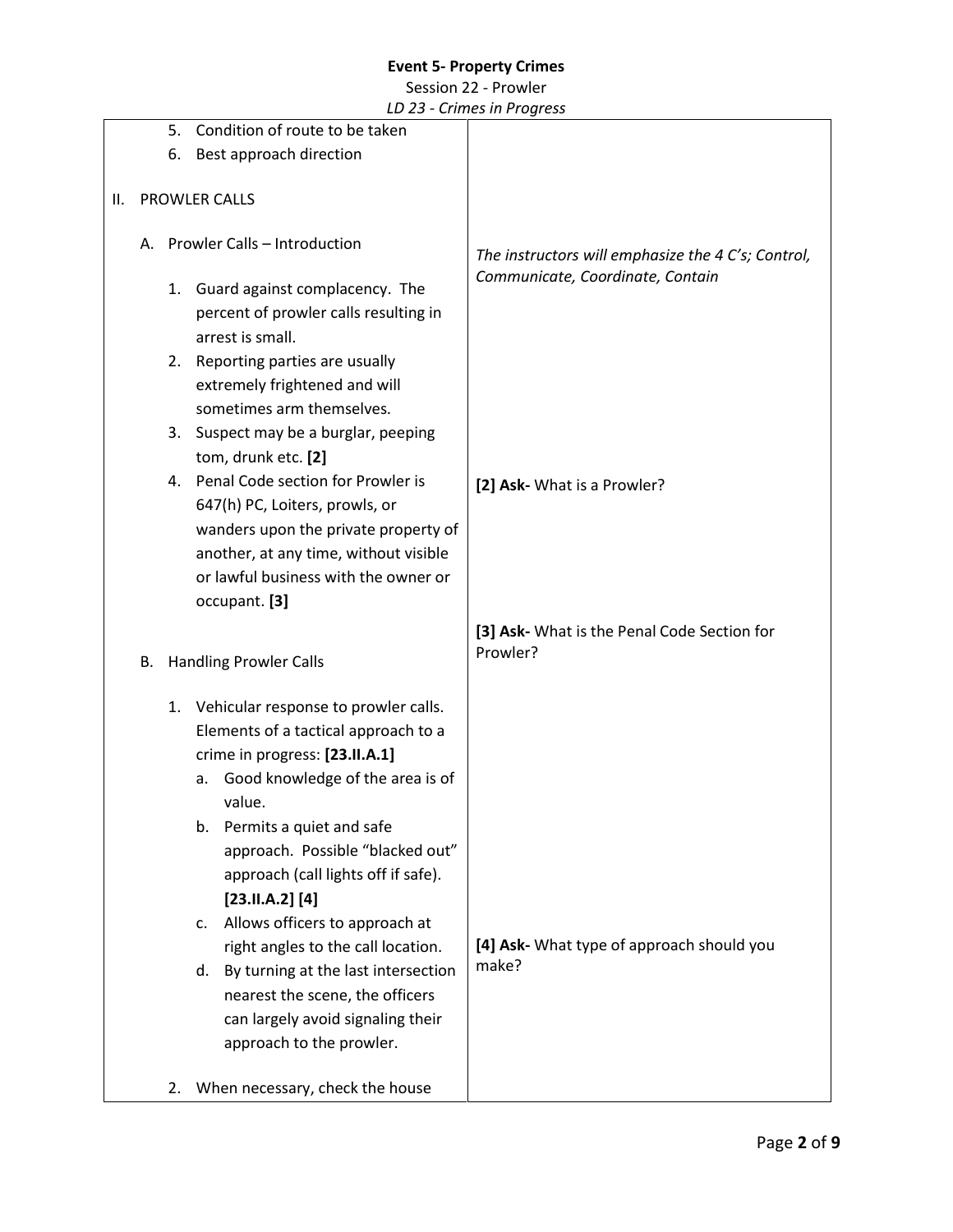#### Session 22 - Prowler

|    |                                                                                                |                                                                        |                                                  | LD 25 - Chines in Frogress                                                             |
|----|------------------------------------------------------------------------------------------------|------------------------------------------------------------------------|--------------------------------------------------|----------------------------------------------------------------------------------------|
|    |                                                                                                | Condition of route to be taken<br>5.                                   |                                                  |                                                                                        |
|    |                                                                                                | Best approach direction<br>6.                                          |                                                  |                                                                                        |
|    |                                                                                                |                                                                        |                                                  |                                                                                        |
| Ш. |                                                                                                |                                                                        | PROWLER CALLS                                    |                                                                                        |
|    |                                                                                                |                                                                        |                                                  |                                                                                        |
|    |                                                                                                |                                                                        | A. Prowler Calls - Introduction                  | The instructors will emphasize the 4 C's; Control,<br>Communicate, Coordinate, Contain |
|    |                                                                                                |                                                                        |                                                  |                                                                                        |
|    |                                                                                                |                                                                        | 1. Guard against complacency. The                |                                                                                        |
|    |                                                                                                |                                                                        | percent of prowler calls resulting in            |                                                                                        |
|    |                                                                                                |                                                                        | arrest is small.                                 |                                                                                        |
|    |                                                                                                | 2.                                                                     | Reporting parties are usually                    |                                                                                        |
|    |                                                                                                |                                                                        | extremely frightened and will                    |                                                                                        |
|    |                                                                                                |                                                                        | sometimes arm themselves.                        |                                                                                        |
|    |                                                                                                | 3.                                                                     | Suspect may be a burglar, peeping                |                                                                                        |
|    |                                                                                                |                                                                        | tom, drunk etc. [2]                              |                                                                                        |
|    |                                                                                                |                                                                        | 4. Penal Code section for Prowler is             |                                                                                        |
|    |                                                                                                |                                                                        |                                                  | [2] Ask- What is a Prowler?                                                            |
|    |                                                                                                | 647(h) PC, Loiters, prowls, or<br>wanders upon the private property of |                                                  |                                                                                        |
|    |                                                                                                |                                                                        |                                                  |                                                                                        |
|    | another, at any time, without visible<br>or lawful business with the owner or<br>occupant. [3] |                                                                        |                                                  |                                                                                        |
|    |                                                                                                |                                                                        |                                                  |                                                                                        |
|    |                                                                                                |                                                                        |                                                  |                                                                                        |
|    |                                                                                                | <b>Handling Prowler Calls</b>                                          |                                                  | [3] Ask- What is the Penal Code Section for                                            |
|    | В.                                                                                             |                                                                        |                                                  | Prowler?                                                                               |
|    |                                                                                                |                                                                        |                                                  |                                                                                        |
|    |                                                                                                |                                                                        | 1. Vehicular response to prowler calls.          |                                                                                        |
|    |                                                                                                |                                                                        | Elements of a tactical approach to a             |                                                                                        |
|    |                                                                                                |                                                                        | crime in progress: [23.II.A.1]                   |                                                                                        |
|    |                                                                                                |                                                                        | Good knowledge of the area is of<br>a.           |                                                                                        |
|    |                                                                                                |                                                                        | value.                                           |                                                                                        |
|    |                                                                                                |                                                                        | Permits a quiet and safe<br>b.                   |                                                                                        |
|    |                                                                                                |                                                                        | approach. Possible "blacked out"                 |                                                                                        |
|    |                                                                                                |                                                                        |                                                  |                                                                                        |
|    |                                                                                                |                                                                        | approach (call lights off if safe).              |                                                                                        |
|    |                                                                                                |                                                                        | [23.11.A.2] [4]                                  |                                                                                        |
|    |                                                                                                |                                                                        | Allows officers to approach at<br>$\mathsf{C}$ . |                                                                                        |
|    |                                                                                                |                                                                        | right angles to the call location.               | [4] Ask- What type of approach should you<br>make?                                     |
|    |                                                                                                |                                                                        | By turning at the last intersection<br>d.        |                                                                                        |
|    |                                                                                                |                                                                        | nearest the scene, the officers                  |                                                                                        |
|    |                                                                                                |                                                                        | can largely avoid signaling their                |                                                                                        |
|    |                                                                                                |                                                                        | approach to the prowler.                         |                                                                                        |
|    |                                                                                                |                                                                        |                                                  |                                                                                        |
|    |                                                                                                | 2.                                                                     | When necessary, check the house                  |                                                                                        |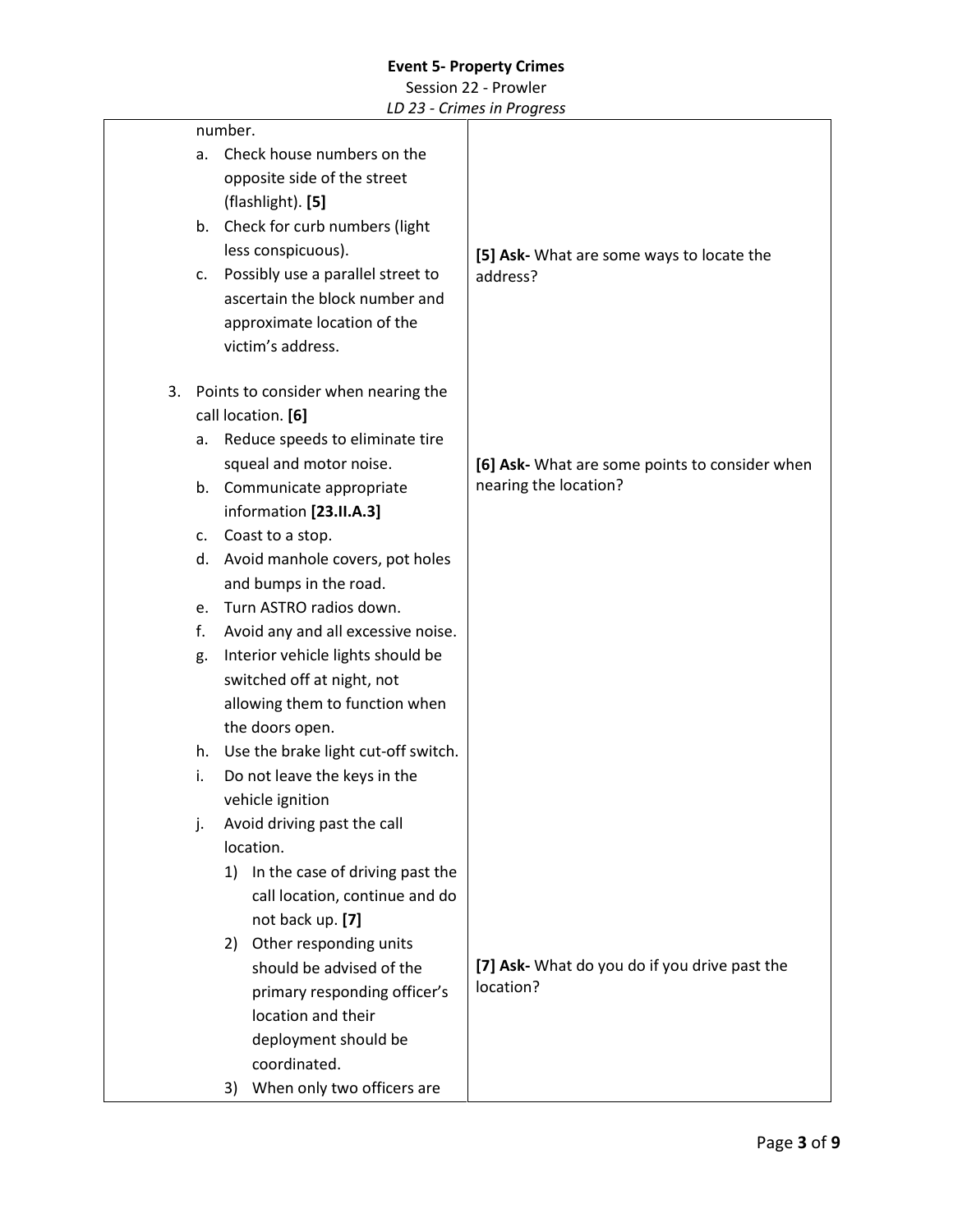#### Session 22 - Prowler

| number.                                   |    |                                     |                                                |
|-------------------------------------------|----|-------------------------------------|------------------------------------------------|
|                                           | a. | Check house numbers on the          |                                                |
|                                           |    | opposite side of the street         |                                                |
|                                           |    | (flashlight). [5]                   |                                                |
|                                           | b. | Check for curb numbers (light       |                                                |
|                                           |    | less conspicuous).                  | [5] Ask- What are some ways to locate the      |
|                                           | c. | Possibly use a parallel street to   | address?                                       |
|                                           |    | ascertain the block number and      |                                                |
|                                           |    | approximate location of the         |                                                |
|                                           |    | victim's address.                   |                                                |
| Points to consider when nearing the<br>3. |    |                                     |                                                |
|                                           |    | call location. [6]                  |                                                |
|                                           | a. | Reduce speeds to eliminate tire     |                                                |
|                                           |    | squeal and motor noise.             | [6] Ask- What are some points to consider when |
|                                           | b. | Communicate appropriate             | nearing the location?                          |
|                                           |    | information [23.II.A.3]             |                                                |
|                                           | c. | Coast to a stop.                    |                                                |
|                                           |    | d. Avoid manhole covers, pot holes  |                                                |
|                                           |    | and bumps in the road.              |                                                |
|                                           | e. | Turn ASTRO radios down.             |                                                |
|                                           | f. | Avoid any and all excessive noise.  |                                                |
|                                           | g. | Interior vehicle lights should be   |                                                |
|                                           |    | switched off at night, not          |                                                |
|                                           |    | allowing them to function when      |                                                |
|                                           |    | the doors open.                     |                                                |
|                                           | h. | Use the brake light cut-off switch. |                                                |
|                                           | i. | Do not leave the keys in the        |                                                |
|                                           |    | vehicle ignition                    |                                                |
|                                           | j. | Avoid driving past the call         |                                                |
|                                           |    | location.                           |                                                |
|                                           |    | 1) In the case of driving past the  |                                                |
|                                           |    | call location, continue and do      |                                                |
|                                           |    | not back up. [7]                    |                                                |
|                                           |    | Other responding units<br>2)        |                                                |
|                                           |    | should be advised of the            | [7] Ask- What do you do if you drive past the  |
|                                           |    | primary responding officer's        | location?                                      |
|                                           |    | location and their                  |                                                |
|                                           |    | deployment should be                |                                                |
|                                           |    | coordinated.                        |                                                |
|                                           |    | When only two officers are<br>3)    |                                                |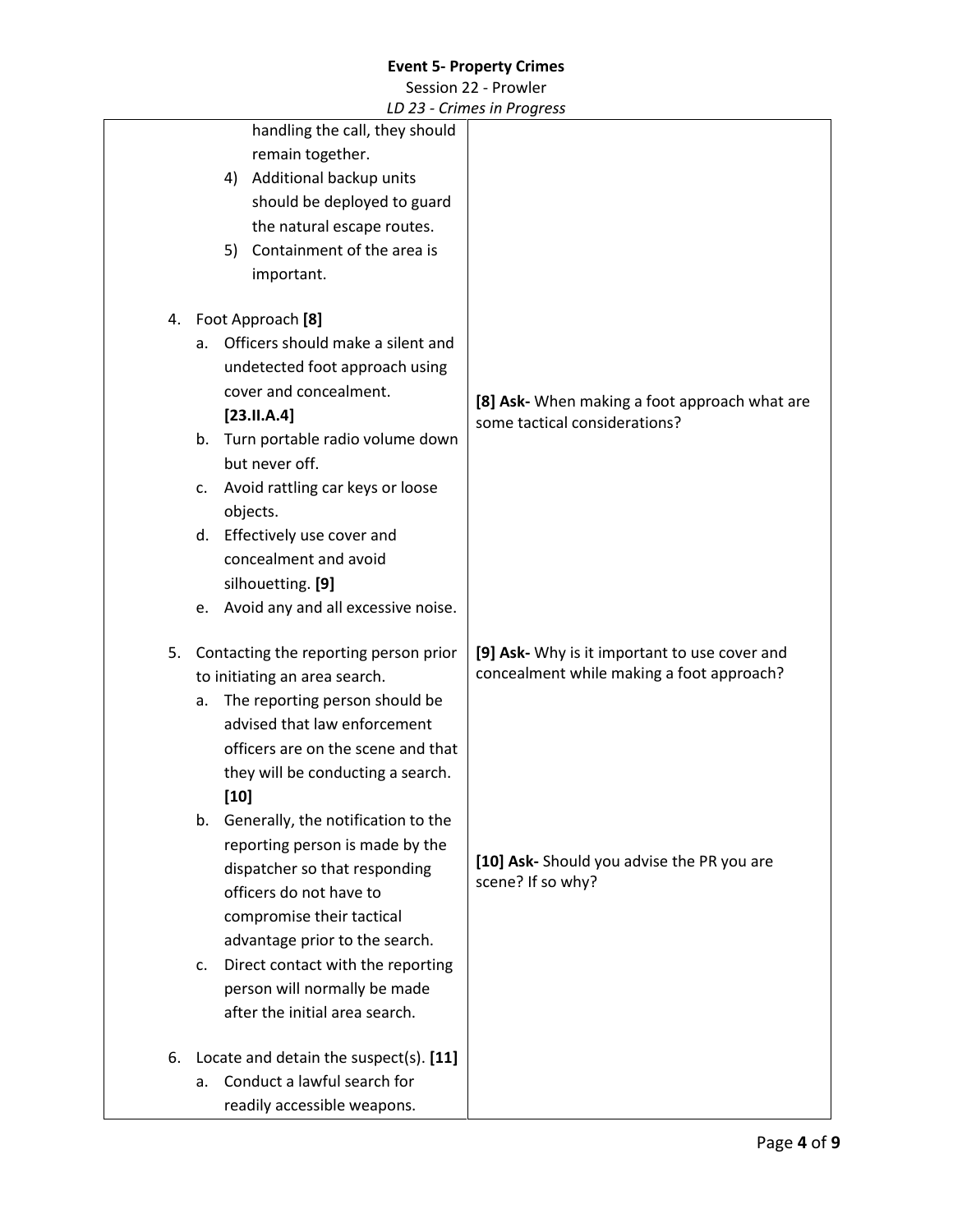|    |        |                                           | LD 25 - Chines in Frogress                                      |
|----|--------|-------------------------------------------|-----------------------------------------------------------------|
|    |        | handling the call, they should            |                                                                 |
|    |        | remain together.                          |                                                                 |
|    |        | 4) Additional backup units                |                                                                 |
|    |        | should be deployed to guard               |                                                                 |
|    |        | the natural escape routes.                |                                                                 |
|    |        | 5) Containment of the area is             |                                                                 |
|    |        | important.                                |                                                                 |
|    |        | 4. Foot Approach [8]                      |                                                                 |
| a. |        | Officers should make a silent and         |                                                                 |
|    |        | undetected foot approach using            |                                                                 |
|    |        | cover and concealment.                    | [8] Ask- When making a foot approach what are                   |
|    |        | [23.11.A.4]                               | some tactical considerations?                                   |
|    | b.     | Turn portable radio volume down           |                                                                 |
|    |        | but never off.                            |                                                                 |
| c. |        | Avoid rattling car keys or loose          |                                                                 |
|    |        | objects.                                  |                                                                 |
|    | d.     | Effectively use cover and                 |                                                                 |
|    |        | concealment and avoid                     |                                                                 |
|    |        | silhouetting. [9]                         |                                                                 |
|    |        | e. Avoid any and all excessive noise.     |                                                                 |
| 5. |        | Contacting the reporting person prior     | [9] Ask- Why is it important to use cover and                   |
|    |        | to initiating an area search.             | concealment while making a foot approach?                       |
| a. |        | The reporting person should be            |                                                                 |
|    |        | advised that law enforcement              |                                                                 |
|    |        | officers are on the scene and that        |                                                                 |
|    |        | they will be conducting a search.         |                                                                 |
|    | $[10]$ |                                           |                                                                 |
|    | b.     | Generally, the notification to the        |                                                                 |
|    |        | reporting person is made by the           |                                                                 |
|    |        | dispatcher so that responding             | [10] Ask- Should you advise the PR you are<br>scene? If so why? |
|    |        | officers do not have to                   |                                                                 |
|    |        | compromise their tactical                 |                                                                 |
|    |        | advantage prior to the search.            |                                                                 |
| c. |        | Direct contact with the reporting         |                                                                 |
|    |        | person will normally be made              |                                                                 |
|    |        | after the initial area search.            |                                                                 |
|    |        | 6. Locate and detain the suspect(s). [11] |                                                                 |
| a. |        | Conduct a lawful search for               |                                                                 |
|    |        | readily accessible weapons.               |                                                                 |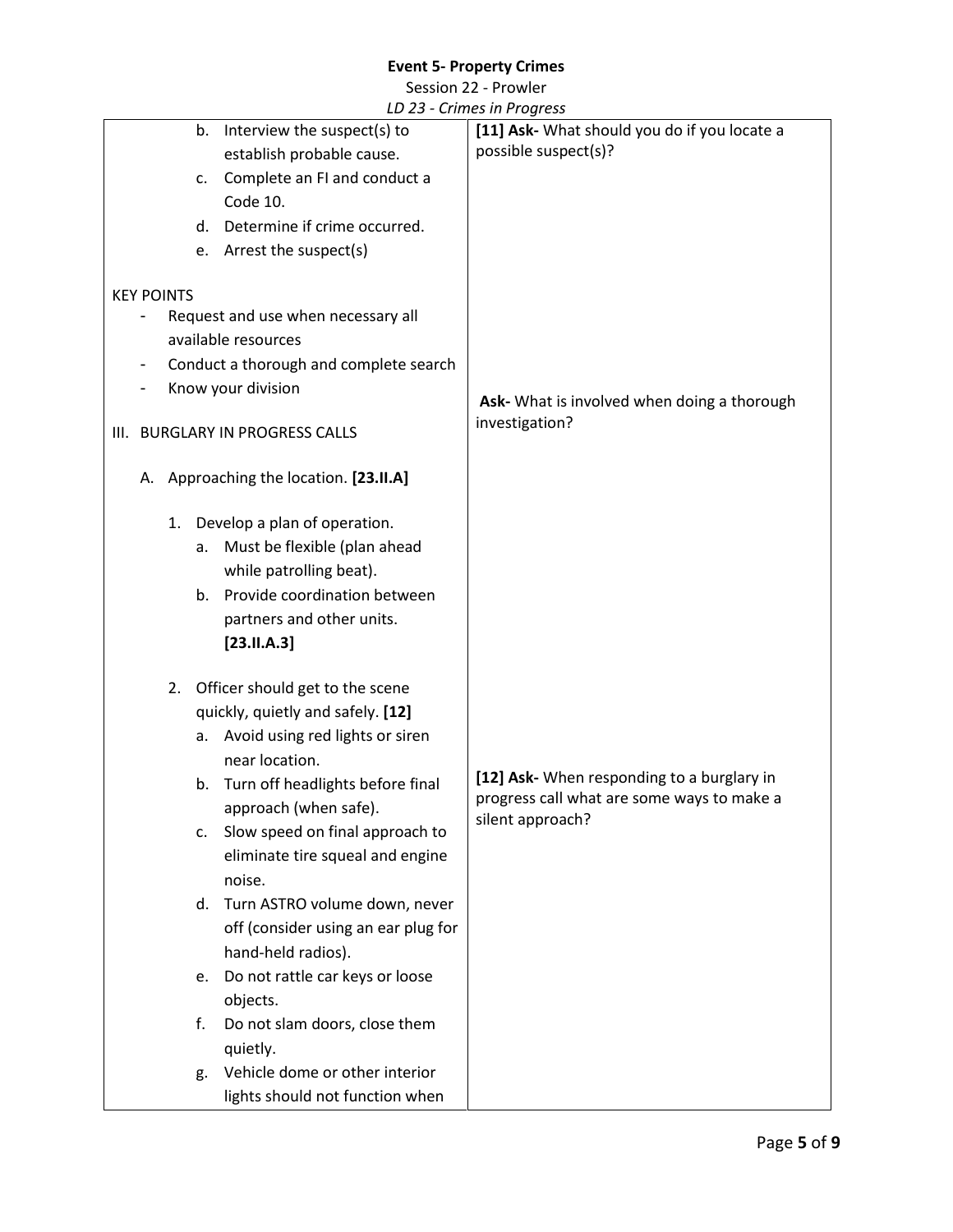Session 22 - Prowler

| Interview the suspect(s) to<br>b.      | $\frac{1}{2}$<br>[11] Ask- What should you do if you locate a                            |
|----------------------------------------|------------------------------------------------------------------------------------------|
| establish probable cause.              | possible suspect(s)?                                                                     |
| Complete an FI and conduct a<br>c.     |                                                                                          |
| Code 10.                               |                                                                                          |
| Determine if crime occurred.           |                                                                                          |
| d.                                     |                                                                                          |
| e. Arrest the suspect(s)               |                                                                                          |
| <b>KEY POINTS</b>                      |                                                                                          |
| Request and use when necessary all     |                                                                                          |
| available resources                    |                                                                                          |
| Conduct a thorough and complete search |                                                                                          |
| Know your division                     |                                                                                          |
|                                        | Ask- What is involved when doing a thorough                                              |
| III. BURGLARY IN PROGRESS CALLS        | investigation?                                                                           |
|                                        |                                                                                          |
| A. Approaching the location. [23.II.A] |                                                                                          |
|                                        |                                                                                          |
| 1. Develop a plan of operation.        |                                                                                          |
| Must be flexible (plan ahead<br>a.     |                                                                                          |
| while patrolling beat).                |                                                                                          |
| b. Provide coordination between        |                                                                                          |
| partners and other units.              |                                                                                          |
| [23.11.A.3]                            |                                                                                          |
|                                        |                                                                                          |
| Officer should get to the scene<br>2.  |                                                                                          |
| quickly, quietly and safely. [12]      |                                                                                          |
| Avoid using red lights or siren<br>а.  |                                                                                          |
| near location.                         |                                                                                          |
| Turn off headlights before final<br>b. | [12] Ask- When responding to a burglary in<br>progress call what are some ways to make a |
| approach (when safe).                  | silent approach?                                                                         |
| Slow speed on final approach to<br>c.  |                                                                                          |
| eliminate tire squeal and engine       |                                                                                          |
| noise.                                 |                                                                                          |
| d. Turn ASTRO volume down, never       |                                                                                          |
| off (consider using an ear plug for    |                                                                                          |
| hand-held radios).                     |                                                                                          |
| Do not rattle car keys or loose<br>e.  |                                                                                          |
| objects.                               |                                                                                          |
| Do not slam doors, close them<br>f.    |                                                                                          |
| quietly.                               |                                                                                          |
| Vehicle dome or other interior<br>g.   |                                                                                          |
| lights should not function when        |                                                                                          |
|                                        |                                                                                          |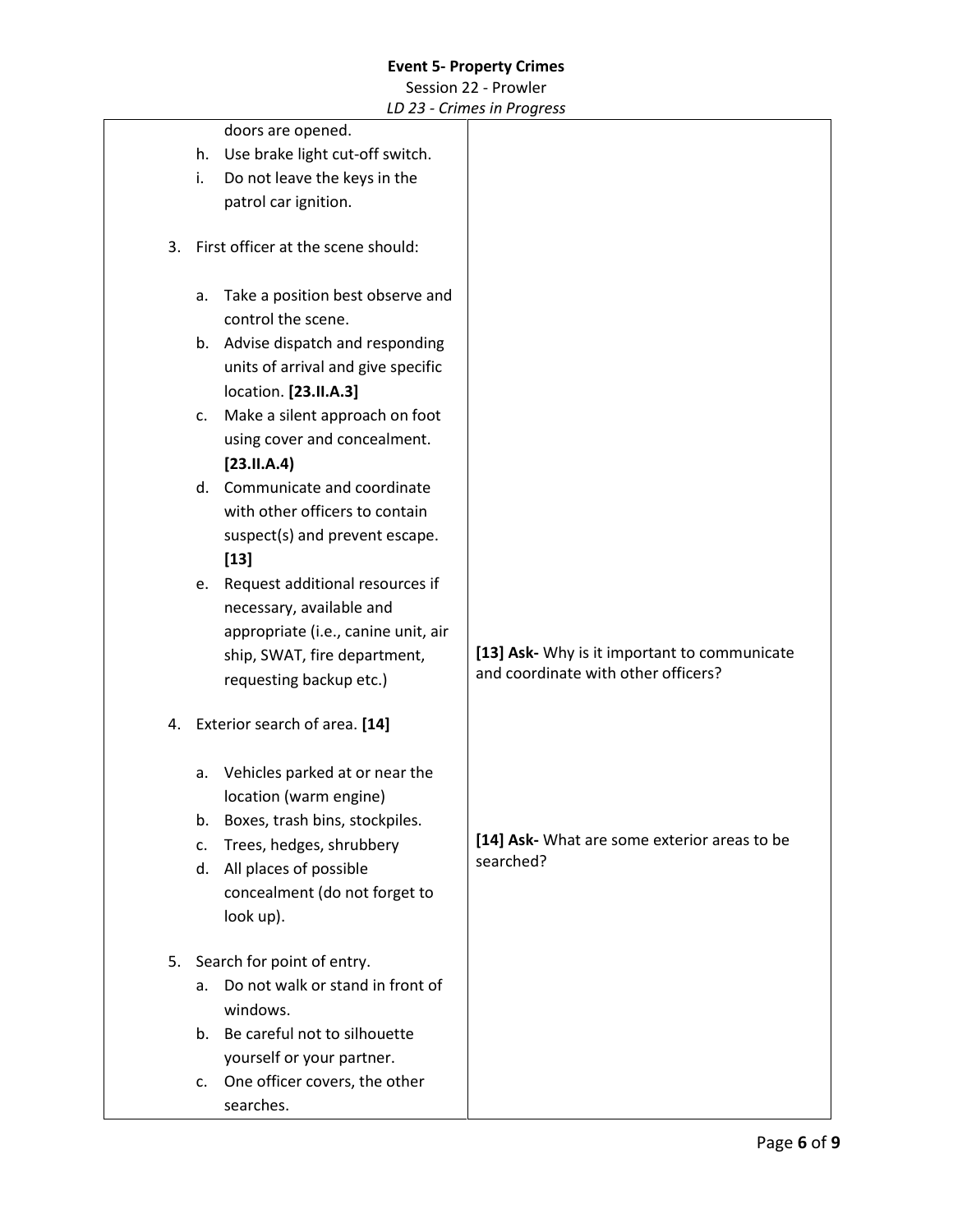#### Session 22 - Prowler

|    |                                        | $25$ cannes in a logic 33                    |
|----|----------------------------------------|----------------------------------------------|
|    | doors are opened.                      |                                              |
|    | Use brake light cut-off switch.<br>h.  |                                              |
|    | Do not leave the keys in the<br>i.     |                                              |
|    | patrol car ignition.                   |                                              |
|    |                                        |                                              |
| 3. | First officer at the scene should:     |                                              |
|    |                                        |                                              |
|    | Take a position best observe and<br>a. |                                              |
|    | control the scene.                     |                                              |
|    | b. Advise dispatch and responding      |                                              |
|    | units of arrival and give specific     |                                              |
|    | location. [23.II.A.3]                  |                                              |
|    | Make a silent approach on foot<br>c.   |                                              |
|    | using cover and concealment.           |                                              |
|    | [23.11.A.4]                            |                                              |
|    | d. Communicate and coordinate          |                                              |
|    | with other officers to contain         |                                              |
|    | suspect(s) and prevent escape.         |                                              |
|    | $[13]$                                 |                                              |
|    | Request additional resources if<br>е.  |                                              |
|    | necessary, available and               |                                              |
|    | appropriate (i.e., canine unit, air    |                                              |
|    | ship, SWAT, fire department,           | [13] Ask- Why is it important to communicate |
|    | requesting backup etc.)                | and coordinate with other officers?          |
| 4. | Exterior search of area. [14]          |                                              |
|    |                                        |                                              |
|    | Vehicles parked at or near the<br>a.   |                                              |
|    | location (warm engine)                 |                                              |
|    | Boxes, trash bins, stockpiles.<br>b.   |                                              |
|    | Trees, hedges, shrubbery<br>c.         | [14] Ask- What are some exterior areas to be |
|    | All places of possible<br>d.           | searched?                                    |
|    | concealment (do not forget to          |                                              |
|    | look up).                              |                                              |
| 5. | Search for point of entry.             |                                              |
|    | Do not walk or stand in front of<br>a. |                                              |
|    | windows.                               |                                              |
|    | b. Be careful not to silhouette        |                                              |
|    | yourself or your partner.              |                                              |
|    | One officer covers, the other<br>c.    |                                              |
|    | searches.                              |                                              |
|    |                                        |                                              |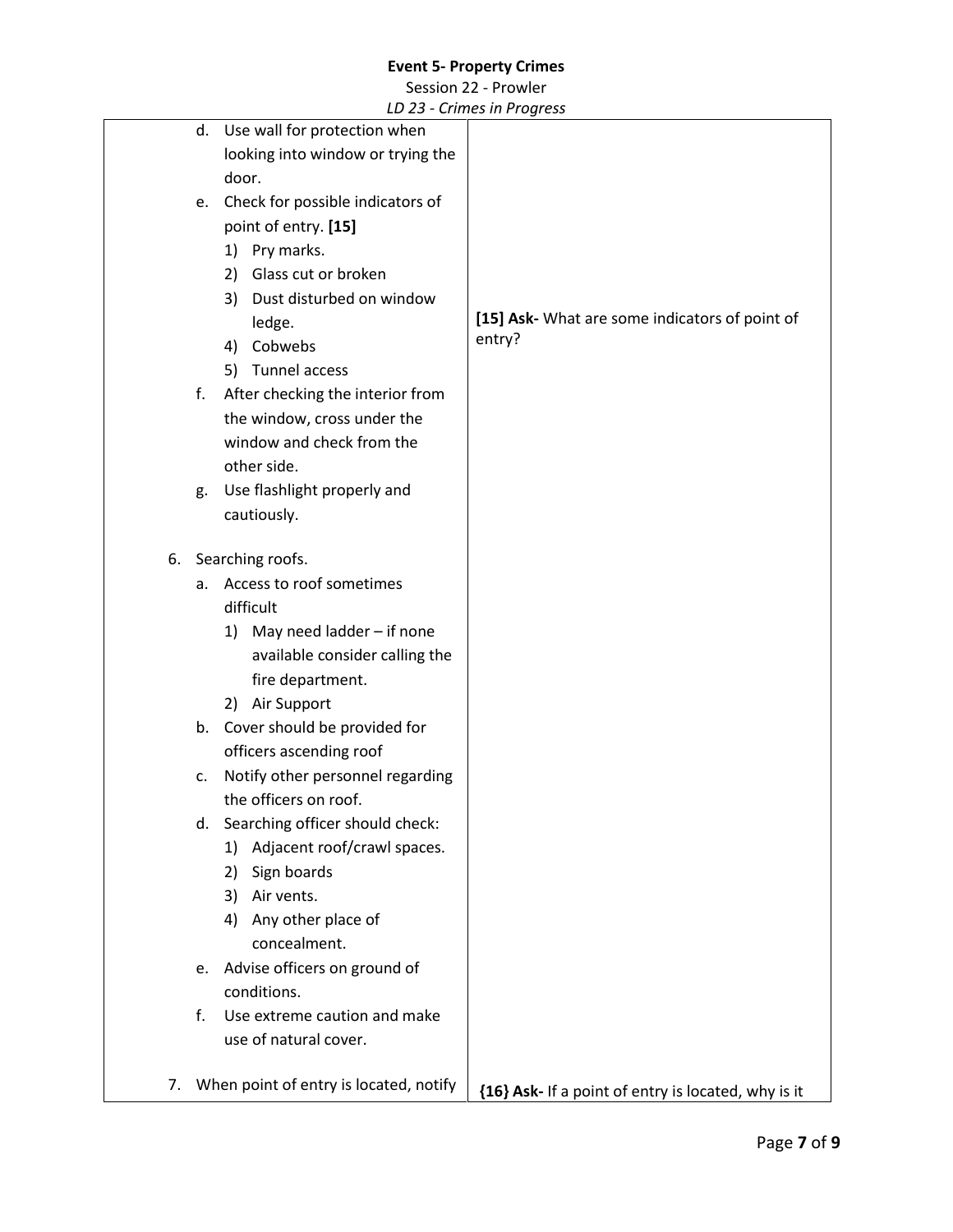Session 22 - Prowler

|    |    |                                        | LD 25 - Chines in Frogress                          |
|----|----|----------------------------------------|-----------------------------------------------------|
|    |    | d. Use wall for protection when        |                                                     |
|    |    | looking into window or trying the      |                                                     |
|    |    | door.                                  |                                                     |
|    |    | e. Check for possible indicators of    |                                                     |
|    |    | point of entry. [15]                   |                                                     |
|    |    | 1) Pry marks.                          |                                                     |
|    |    | Glass cut or broken<br>2)              |                                                     |
|    |    | Dust disturbed on window<br>3)         |                                                     |
|    |    | ledge.                                 | [15] Ask- What are some indicators of point of      |
|    |    | 4) Cobwebs                             | entry?                                              |
|    |    | 5) Tunnel access                       |                                                     |
|    | f. | After checking the interior from       |                                                     |
|    |    | the window, cross under the            |                                                     |
|    |    | window and check from the              |                                                     |
|    |    | other side.                            |                                                     |
|    | g. | Use flashlight properly and            |                                                     |
|    |    | cautiously.                            |                                                     |
|    |    |                                        |                                                     |
| 6. |    | Searching roofs.                       |                                                     |
|    | а. | Access to roof sometimes               |                                                     |
|    |    | difficult                              |                                                     |
|    |    | 1) May need ladder - if none           |                                                     |
|    |    | available consider calling the         |                                                     |
|    |    | fire department.                       |                                                     |
|    |    | 2) Air Support                         |                                                     |
|    |    | b. Cover should be provided for        |                                                     |
|    |    | officers ascending roof                |                                                     |
|    | c. | Notify other personnel regarding       |                                                     |
|    |    | the officers on roof.                  |                                                     |
|    |    | d. Searching officer should check:     |                                                     |
|    |    | Adjacent roof/crawl spaces.<br>1)      |                                                     |
|    |    | Sign boards<br>2)                      |                                                     |
|    |    | Air vents.<br>3)                       |                                                     |
|    |    | Any other place of<br>4)               |                                                     |
|    |    | concealment.                           |                                                     |
|    |    | e. Advise officers on ground of        |                                                     |
|    |    | conditions.                            |                                                     |
|    | f. | Use extreme caution and make           |                                                     |
|    |    | use of natural cover.                  |                                                     |
|    |    |                                        |                                                     |
| 7. |    | When point of entry is located, notify | {16} Ask- If a point of entry is located, why is it |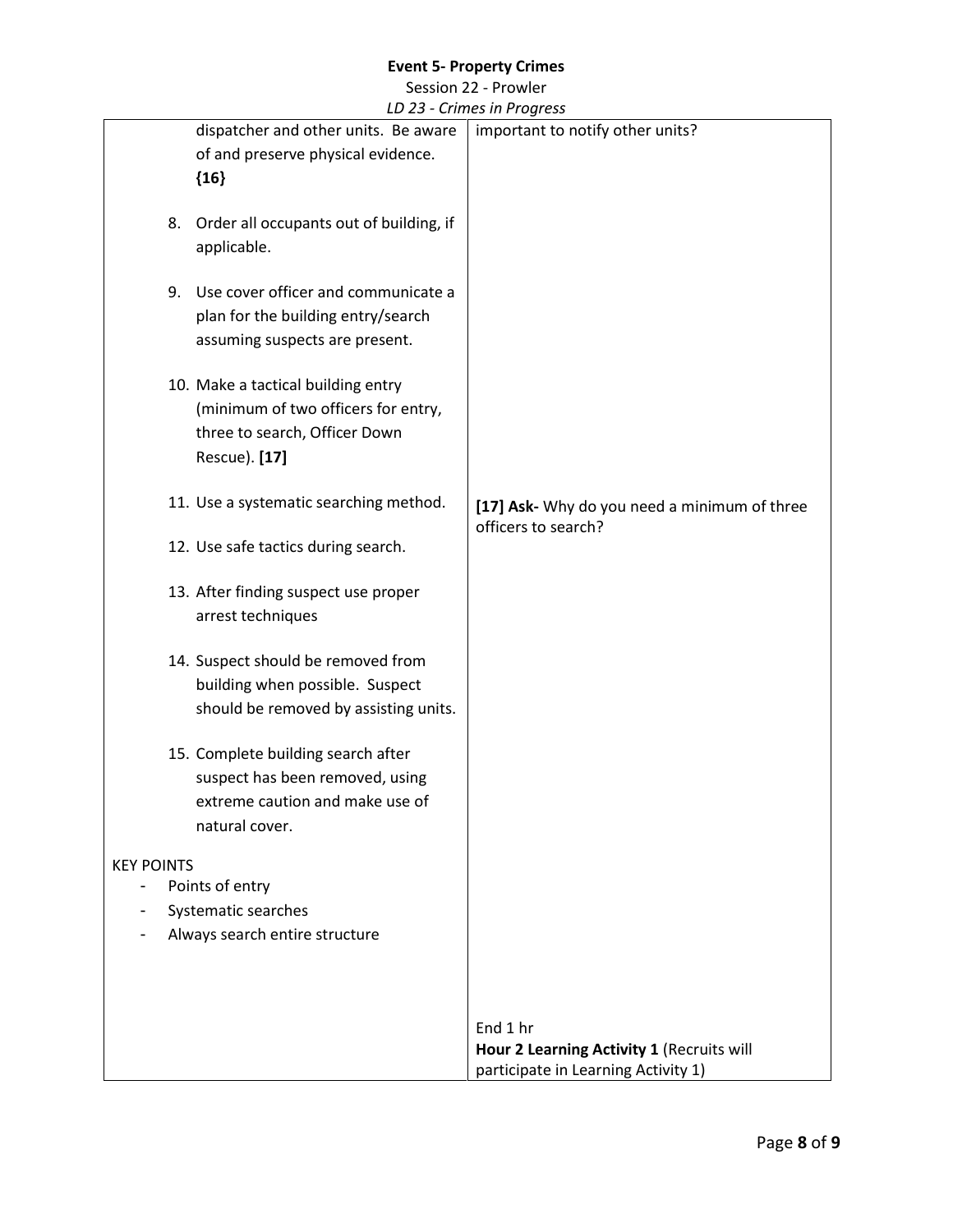Session 22 - Prowler *LD 23 - Crimes in Progress*

|                                                 | LD 23 - Crimes in Progress                   |
|-------------------------------------------------|----------------------------------------------|
| dispatcher and other units. Be aware            | important to notify other units?             |
| of and preserve physical evidence.              |                                              |
| ${16}$                                          |                                              |
|                                                 |                                              |
| Order all occupants out of building, if<br>8.   |                                              |
| applicable.                                     |                                              |
|                                                 |                                              |
| Use cover officer and communicate a<br>9.       |                                              |
|                                                 |                                              |
| plan for the building entry/search              |                                              |
| assuming suspects are present.                  |                                              |
|                                                 |                                              |
| 10. Make a tactical building entry              |                                              |
| (minimum of two officers for entry,             |                                              |
| three to search, Officer Down                   |                                              |
| Rescue). [17]                                   |                                              |
|                                                 |                                              |
| 11. Use a systematic searching method.          | [17] Ask- Why do you need a minimum of three |
|                                                 | officers to search?                          |
| 12. Use safe tactics during search.             |                                              |
|                                                 |                                              |
| 13. After finding suspect use proper            |                                              |
| arrest techniques                               |                                              |
|                                                 |                                              |
| 14. Suspect should be removed from              |                                              |
| building when possible. Suspect                 |                                              |
|                                                 |                                              |
| should be removed by assisting units.           |                                              |
|                                                 |                                              |
| 15. Complete building search after              |                                              |
| suspect has been removed, using                 |                                              |
| extreme caution and make use of                 |                                              |
| natural cover.                                  |                                              |
|                                                 |                                              |
| <b>KEY POINTS</b>                               |                                              |
| Points of entry<br>$\qquad \qquad \blacksquare$ |                                              |
| Systematic searches                             |                                              |
| Always search entire structure                  |                                              |
|                                                 |                                              |
|                                                 |                                              |
|                                                 |                                              |
|                                                 | End 1 hr                                     |
|                                                 | Hour 2 Learning Activity 1 (Recruits will    |
|                                                 | participate in Learning Activity 1)          |